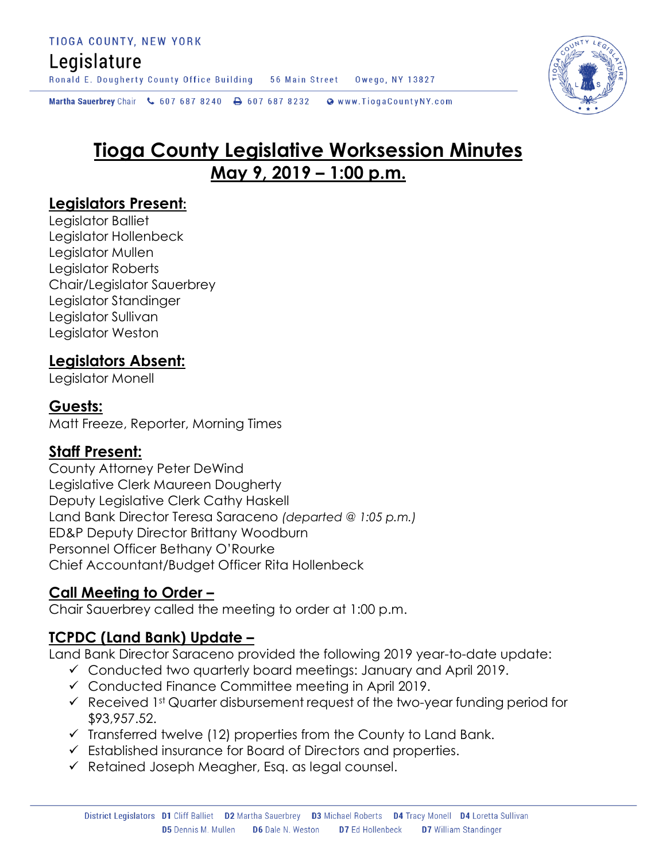## Legislature

Ronald E. Dougherty County Office Building 56 Main Street Owego, NY 13827

Martha Sauerbrey Chair & 607 687 8240 <a>B</a>607 687 8232 <a>B</a>Www.TiogaCountyNY.com

# **Tioga County Legislative Worksession Minutes May 9, 2019 – 1:00 p.m.**

#### **Legislators Present:**

Legislator Balliet Legislator Hollenbeck Legislator Mullen Legislator Roberts Chair/Legislator Sauerbrey Legislator Standinger Legislator Sullivan Legislator Weston

### **Legislators Absent:**

Legislator Monell

#### **Guests:**

Matt Freeze, Reporter, Morning Times

#### **Staff Present:**

County Attorney Peter DeWind Legislative Clerk Maureen Dougherty Deputy Legislative Clerk Cathy Haskell Land Bank Director Teresa Saraceno *(departed @ 1:05 p.m.)* ED&P Deputy Director Brittany Woodburn Personnel Officer Bethany O'Rourke Chief Accountant/Budget Officer Rita Hollenbeck

#### **Call Meeting to Order –**

Chair Sauerbrey called the meeting to order at 1:00 p.m.

## **TCPDC (Land Bank) Update –**

Land Bank Director Saraceno provided the following 2019 year-to-date update:

- Conducted two quarterly board meetings: January and April 2019.
- $\checkmark$  Conducted Finance Committee meeting in April 2019.
- $\checkmark$  Received 1st Quarter disbursement request of the two-year funding period for \$93,957.52.
- $\checkmark$  Transferred twelve (12) properties from the County to Land Bank.
- Established insurance for Board of Directors and properties.
- $\checkmark$  Retained Joseph Meagher, Esq. as legal counsel.

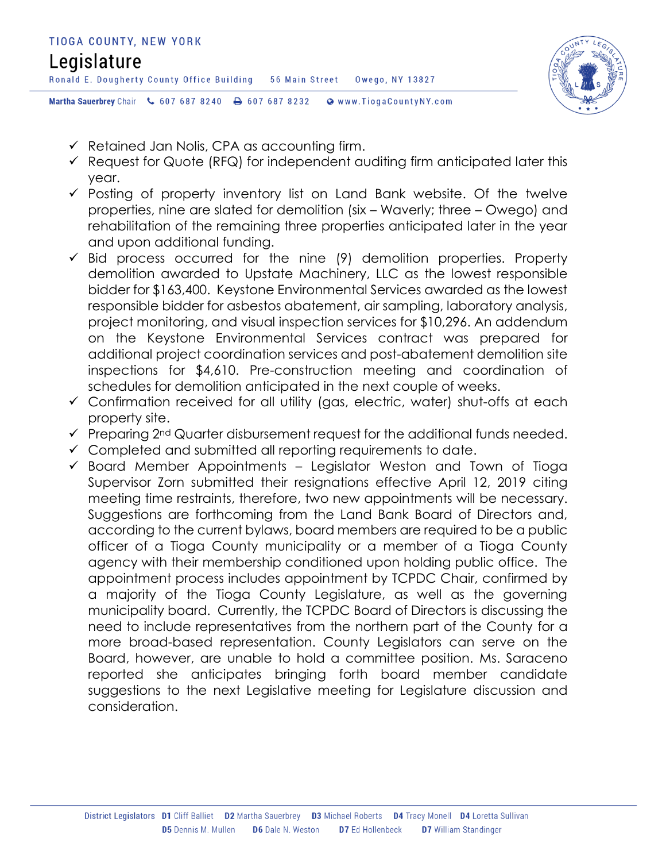

- $\checkmark$  Retained Jan Nolis, CPA as accounting firm.
- $\checkmark$  Request for Quote (RFQ) for independent auditing firm anticipated later this year.
- $\checkmark$  Posting of property inventory list on Land Bank website. Of the twelve properties, nine are slated for demolition (six – Waverly; three – Owego) and rehabilitation of the remaining three properties anticipated later in the year and upon additional funding.
- $\checkmark$  Bid process occurred for the nine (9) demolition properties. Property demolition awarded to Upstate Machinery, LLC as the lowest responsible bidder for \$163,400. Keystone Environmental Services awarded as the lowest responsible bidder for asbestos abatement, air sampling, laboratory analysis, project monitoring, and visual inspection services for \$10,296. An addendum on the Keystone Environmental Services contract was prepared for additional project coordination services and post-abatement demolition site inspections for \$4,610. Pre-construction meeting and coordination of schedules for demolition anticipated in the next couple of weeks.
- Confirmation received for all utility (gas, electric, water) shut-offs at each property site.
- $\checkmark$  Preparing 2<sup>nd</sup> Quarter disbursement request for the additional funds needed.
- $\checkmark$  Completed and submitted all reporting requirements to date.
- $\checkmark$  Board Member Appointments Legislator Weston and Town of Tioga Supervisor Zorn submitted their resignations effective April 12, 2019 citing meeting time restraints, therefore, two new appointments will be necessary. Suggestions are forthcoming from the Land Bank Board of Directors and, according to the current bylaws, board members are required to be a public officer of a Tioga County municipality or a member of a Tioga County agency with their membership conditioned upon holding public office. The appointment process includes appointment by TCPDC Chair, confirmed by a majority of the Tioga County Legislature, as well as the governing municipality board. Currently, the TCPDC Board of Directors is discussing the need to include representatives from the northern part of the County for a more broad-based representation. County Legislators can serve on the Board, however, are unable to hold a committee position. Ms. Saraceno reported she anticipates bringing forth board member candidate suggestions to the next Legislative meeting for Legislature discussion and consideration.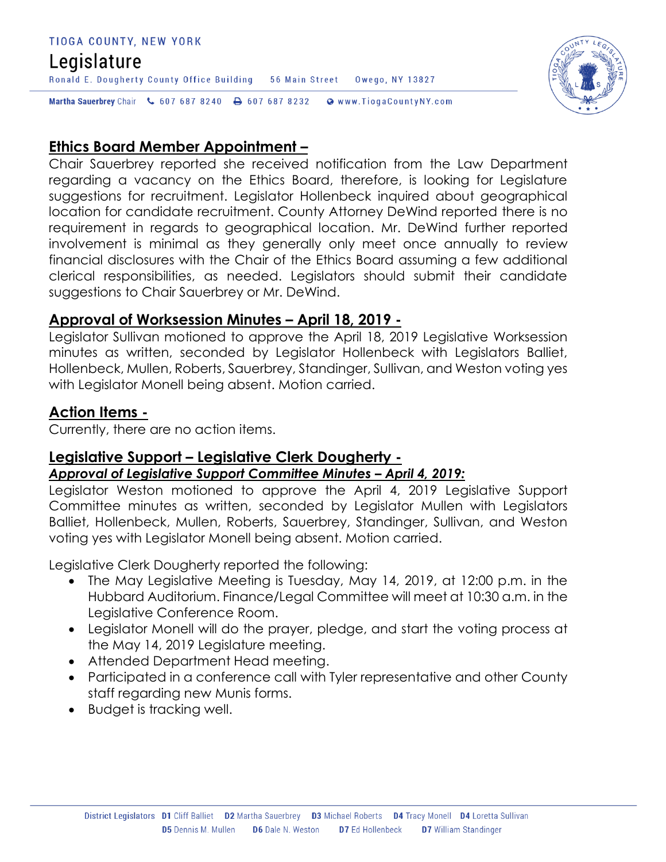#### TIOGA COUNTY, NEW YORK

### Legislature

Ronald E. Dougherty County Office Building 56 Main Street Owego, NY 13827

Martha Sauerbrey Chair & 607 687 8240 <a>B</a>607 687 8232 <a>B</a>Www.TiogaCountyNY.com

#### **Ethics Board Member Appointment –**

Chair Sauerbrey reported she received notification from the Law Department regarding a vacancy on the Ethics Board, therefore, is looking for Legislature suggestions for recruitment. Legislator Hollenbeck inquired about geographical location for candidate recruitment. County Attorney DeWind reported there is no requirement in regards to geographical location. Mr. DeWind further reported involvement is minimal as they generally only meet once annually to review financial disclosures with the Chair of the Ethics Board assuming a few additional clerical responsibilities, as needed. Legislators should submit their candidate suggestions to Chair Sauerbrey or Mr. DeWind.

#### **Approval of Worksession Minutes – April 18, 2019 -**

Legislator Sullivan motioned to approve the April 18, 2019 Legislative Worksession minutes as written, seconded by Legislator Hollenbeck with Legislators Balliet, Hollenbeck, Mullen, Roberts, Sauerbrey, Standinger, Sullivan, and Weston voting yes with Legislator Monell being absent. Motion carried.

#### **Action Items -**

Currently, there are no action items.

#### **Legislative Support – Legislative Clerk Dougherty -**

#### *Approval of Legislative Support Committee Minutes – April 4, 2019:*

Legislator Weston motioned to approve the April 4, 2019 Legislative Support Committee minutes as written, seconded by Legislator Mullen with Legislators Balliet, Hollenbeck, Mullen, Roberts, Sauerbrey, Standinger, Sullivan, and Weston voting yes with Legislator Monell being absent. Motion carried.

Legislative Clerk Dougherty reported the following:

- The May Legislative Meeting is Tuesday, May 14, 2019, at 12:00 p.m. in the Hubbard Auditorium. Finance/Legal Committee will meet at 10:30 a.m. in the Legislative Conference Room.
- Legislator Monell will do the prayer, pledge, and start the voting process at the May 14, 2019 Legislature meeting.
- Attended Department Head meeting.
- Participated in a conference call with Tyler representative and other County staff regarding new Munis forms.
- Budget is tracking well.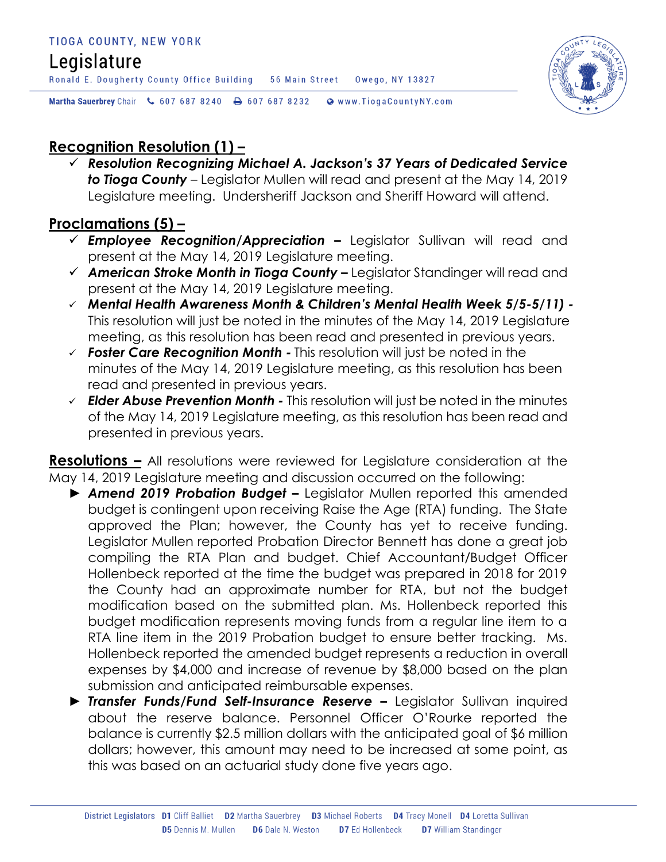# Legislature

Ronald E. Dougherty County Office Building 56 Main Street Owego, NY 13827



Martha Sauerbrey Chair & 607 687 8240 A 607 687 8232 @ www.TiogaCountyNY.com

## **Recognition Resolution (1) –**

 *Resolution Recognizing Michael A. Jackson's 37 Years of Dedicated Service to Tioga County* – Legislator Mullen will read and present at the May 14, 2019 Legislature meeting. Undersheriff Jackson and Sheriff Howard will attend.

## **Proclamations (5) –**

- *Employee Recognition/Appreciation –* Legislator Sullivan will read and present at the May 14, 2019 Legislature meeting.
- *American Stroke Month in Tioga County –* Legislator Standinger will read and present at the May 14, 2019 Legislature meeting.
- *Mental Health Awareness Month & Children's Mental Health Week 5/5-5/11) -* This resolution will just be noted in the minutes of the May 14, 2019 Legislature meeting, as this resolution has been read and presented in previous years.
- *Foster Care Recognition Month -* This resolution will just be noted in the minutes of the May 14, 2019 Legislature meeting, as this resolution has been read and presented in previous years.
- *Elder Abuse Prevention Month -* This resolution will just be noted in the minutes of the May 14, 2019 Legislature meeting, as this resolution has been read and presented in previous years.

**Resolutions –** All resolutions were reviewed for Legislature consideration at the May 14, 2019 Legislature meeting and discussion occurred on the following:

- ► *Amend 2019 Probation Budget –* Legislator Mullen reported this amended budget is contingent upon receiving Raise the Age (RTA) funding. The State approved the Plan; however, the County has yet to receive funding. Legislator Mullen reported Probation Director Bennett has done a great job compiling the RTA Plan and budget. Chief Accountant/Budget Officer Hollenbeck reported at the time the budget was prepared in 2018 for 2019 the County had an approximate number for RTA, but not the budget modification based on the submitted plan. Ms. Hollenbeck reported this budget modification represents moving funds from a regular line item to a RTA line item in the 2019 Probation budget to ensure better tracking. Ms. Hollenbeck reported the amended budget represents a reduction in overall expenses by \$4,000 and increase of revenue by \$8,000 based on the plan submission and anticipated reimbursable expenses.
- ► *Transfer Funds/Fund Self-Insurance Reserve –* Legislator Sullivan inquired about the reserve balance. Personnel Officer O'Rourke reported the balance is currently \$2.5 million dollars with the anticipated goal of \$6 million dollars; however, this amount may need to be increased at some point, as this was based on an actuarial study done five years ago.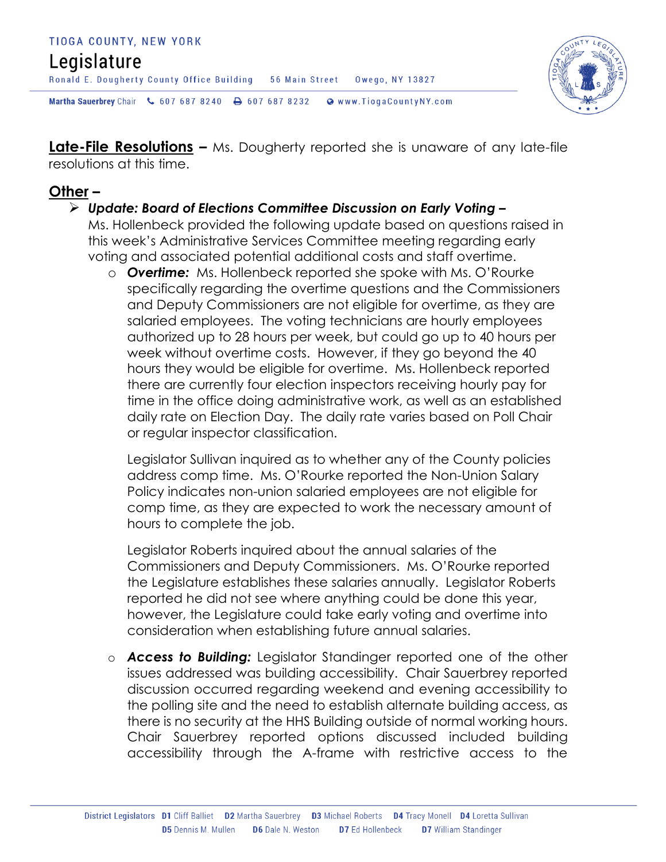#### TIOGA COUNTY, NEW YORK

## Legislature

Ronald E. Dougherty County Office Building 56 Main Street Owego, NY 13827

Martha Sauerbrey Chair & 607 687 8240 <a>B</a>607 687 8232 <a>B</a>Www.TiogaCountyNY.com

**Late-File Resolutions –** Ms. Dougherty reported she is unaware of any late-file resolutions at this time.

#### **Other –**

#### *Update: Board of Elections Committee Discussion on Early Voting –*

Ms. Hollenbeck provided the following update based on questions raised in this week's Administrative Services Committee meeting regarding early voting and associated potential additional costs and staff overtime.

o *Overtime:* Ms. Hollenbeck reported she spoke with Ms. O'Rourke specifically regarding the overtime questions and the Commissioners and Deputy Commissioners are not eligible for overtime, as they are salaried employees. The voting technicians are hourly employees authorized up to 28 hours per week, but could go up to 40 hours per week without overtime costs. However, if they go beyond the 40 hours they would be eligible for overtime. Ms. Hollenbeck reported there are currently four election inspectors receiving hourly pay for time in the office doing administrative work, as well as an established daily rate on Election Day. The daily rate varies based on Poll Chair or regular inspector classification.

Legislator Sullivan inquired as to whether any of the County policies address comp time. Ms. O'Rourke reported the Non-Union Salary Policy indicates non-union salaried employees are not eligible for comp time, as they are expected to work the necessary amount of hours to complete the job.

Legislator Roberts inquired about the annual salaries of the Commissioners and Deputy Commissioners. Ms. O'Rourke reported the Legislature establishes these salaries annually. Legislator Roberts reported he did not see where anything could be done this year, however, the Legislature could take early voting and overtime into consideration when establishing future annual salaries.

o *Access to Building:* Legislator Standinger reported one of the other issues addressed was building accessibility. Chair Sauerbrey reported discussion occurred regarding weekend and evening accessibility to the polling site and the need to establish alternate building access, as there is no security at the HHS Building outside of normal working hours. Chair Sauerbrey reported options discussed included building accessibility through the A-frame with restrictive access to the